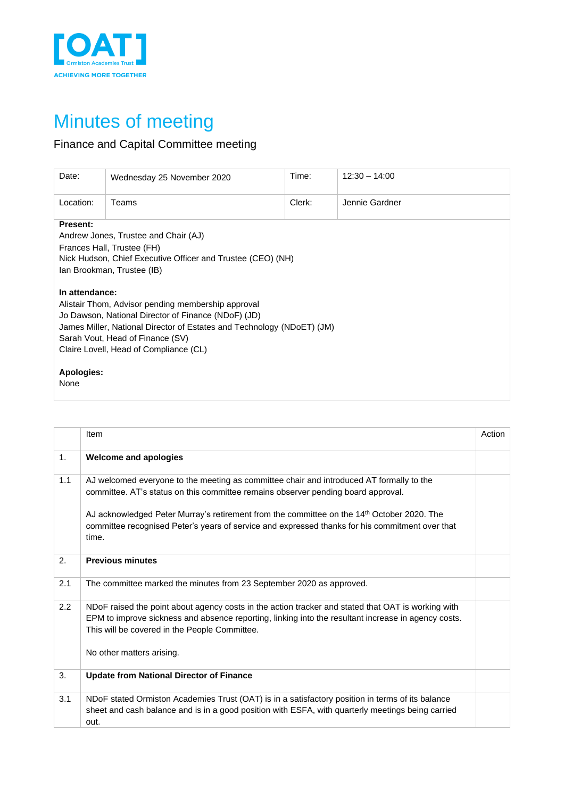

## Minutes of meeting

## Finance and Capital Committee meeting

| Date:                                                                                                                                                                                                                                                                               | Wednesday 25 November 2020 | Time:  | $12:30 - 14:00$ |  |  |  |
|-------------------------------------------------------------------------------------------------------------------------------------------------------------------------------------------------------------------------------------------------------------------------------------|----------------------------|--------|-----------------|--|--|--|
| Location:                                                                                                                                                                                                                                                                           | Teams                      | Clerk: | Jennie Gardner  |  |  |  |
| <b>Present:</b><br>Andrew Jones, Trustee and Chair (AJ)<br>Frances Hall, Trustee (FH)<br>Nick Hudson, Chief Executive Officer and Trustee (CEO) (NH)<br>Ian Brookman, Trustee (IB)                                                                                                  |                            |        |                 |  |  |  |
| In attendance:<br>Alistair Thom, Advisor pending membership approval<br>Jo Dawson, National Director of Finance (NDoF) (JD)<br>James Miller, National Director of Estates and Technology (NDoET) (JM)<br>Sarah Vout, Head of Finance (SV)<br>Claire Lovell, Head of Compliance (CL) |                            |        |                 |  |  |  |
| <b>Apologies:</b><br>None                                                                                                                                                                                                                                                           |                            |        |                 |  |  |  |

|     | Item                                                                                                                                                                                                                                                                                                                                                                                    | Action |
|-----|-----------------------------------------------------------------------------------------------------------------------------------------------------------------------------------------------------------------------------------------------------------------------------------------------------------------------------------------------------------------------------------------|--------|
| 1.  | <b>Welcome and apologies</b>                                                                                                                                                                                                                                                                                                                                                            |        |
| 1.1 | AJ welcomed everyone to the meeting as committee chair and introduced AT formally to the<br>committee. AT's status on this committee remains observer pending board approval.<br>AJ acknowledged Peter Murray's retirement from the committee on the 14th October 2020. The<br>committee recognised Peter's years of service and expressed thanks for his commitment over that<br>time. |        |
| 2.  | <b>Previous minutes</b>                                                                                                                                                                                                                                                                                                                                                                 |        |
| 2.1 | The committee marked the minutes from 23 September 2020 as approved.                                                                                                                                                                                                                                                                                                                    |        |
| 2.2 | NDoF raised the point about agency costs in the action tracker and stated that OAT is working with<br>EPM to improve sickness and absence reporting, linking into the resultant increase in agency costs.<br>This will be covered in the People Committee.<br>No other matters arising.                                                                                                 |        |
| 3.  | <b>Update from National Director of Finance</b>                                                                                                                                                                                                                                                                                                                                         |        |
| 3.1 | NDoF stated Ormiston Academies Trust (OAT) is in a satisfactory position in terms of its balance<br>sheet and cash balance and is in a good position with ESFA, with quarterly meetings being carried<br>out.                                                                                                                                                                           |        |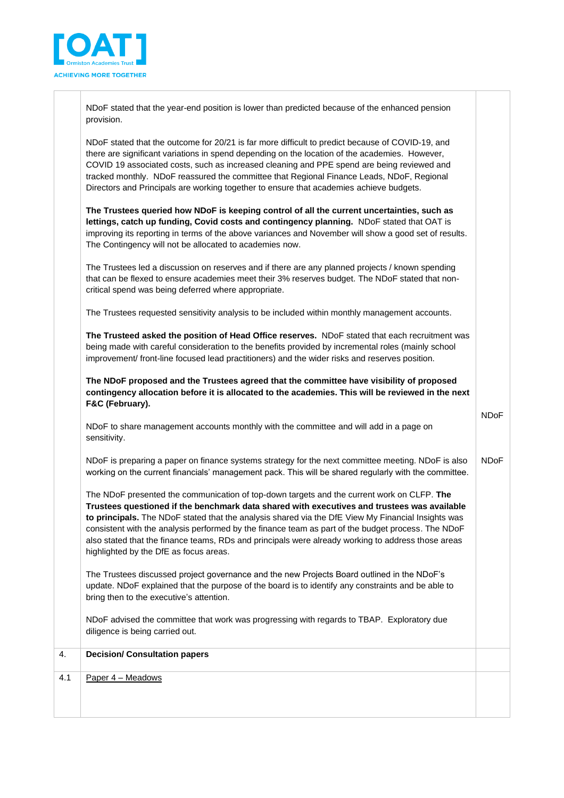

NDoF stated that the year-end position is lower than predicted because of the enhanced pension provision.

NDoF stated that the outcome for 20/21 is far more difficult to predict because of COVID-19, and there are significant variations in spend depending on the location of the academies. However, COVID 19 associated costs, such as increased cleaning and PPE spend are being reviewed and tracked monthly. NDoF reassured the committee that Regional Finance Leads, NDoF, Regional Directors and Principals are working together to ensure that academies achieve budgets.

**The Trustees queried how NDoF is keeping control of all the current uncertainties, such as**  lettings, catch up funding, Covid costs and contingency planning. NDoF stated that OAT is improving its reporting in terms of the above variances and November will show a good set of results. The Contingency will not be allocated to academies now.

The Trustees led a discussion on reserves and if there are any planned projects / known spending that can be flexed to ensure academies meet their 3% reserves budget. The NDoF stated that noncritical spend was being deferred where appropriate.

The Trustees requested sensitivity analysis to be included within monthly management accounts.

**The Trusteed asked the position of Head Office reserves.** NDoF stated that each recruitment was being made with careful consideration to the benefits provided by incremental roles (mainly school improvement/ front-line focused lead practitioners) and the wider risks and reserves position.

**The NDoF proposed and the Trustees agreed that the committee have visibility of proposed contingency allocation before it is allocated to the academies. This will be reviewed in the next F&C (February).**

NDoF to share management accounts monthly with the committee and will add in a page on sensitivity.

NDoF is preparing a paper on finance systems strategy for the next committee meeting. NDoF is also working on the current financials' management pack. This will be shared regularly with the committee. NDoF

NDoF

The NDoF presented the communication of top-down targets and the current work on CLFP. **The Trustees questioned if the benchmark data shared with executives and trustees was available to principals.** The NDoF stated that the analysis shared via the DfE View My Financial Insights was consistent with the analysis performed by the finance team as part of the budget process. The NDoF also stated that the finance teams, RDs and principals were already working to address those areas highlighted by the DfE as focus areas.

The Trustees discussed project governance and the new Projects Board outlined in the NDoF's update. NDoF explained that the purpose of the board is to identify any constraints and be able to bring then to the executive's attention.

NDoF advised the committee that work was progressing with regards to TBAP. Exploratory due diligence is being carried out.

| 4.  | <b>Decision/ Consultation papers</b> |  |
|-----|--------------------------------------|--|
| 4.1 | Paper 4 - Meadows                    |  |